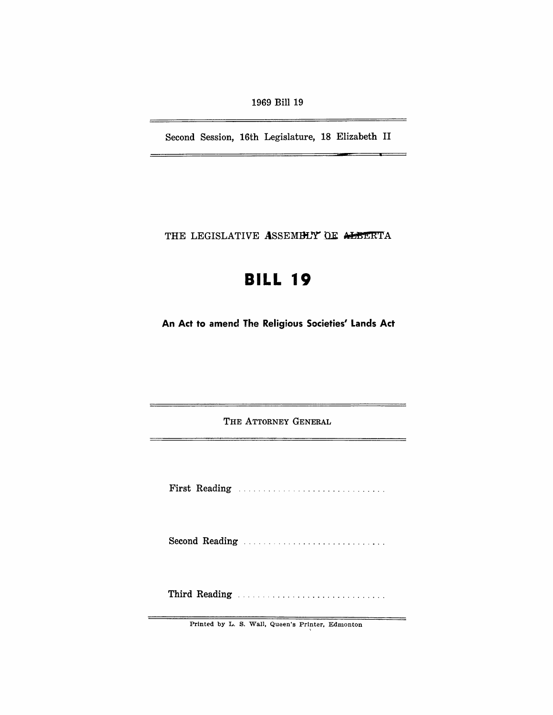1969 Bill 19

Second Session, 16th Legislature, 18 Elizabeth II

—

=

THE LEGISLATIVE ASSEMBLY OF ALBERTA

# **BILL 19**

An Act to amend The Religious Societies' Lands Act

THE ATTORNEY GENERAL

First Reading ............................. .

Second Reading ..................................

Third Reading ............................. .

Printed by L. S. Wall, Queen's Printer, Edmonton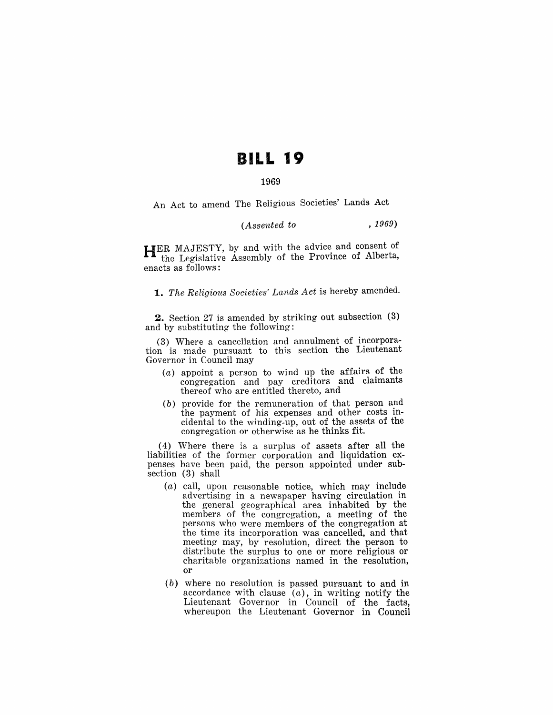## **BILL 19**

## 1969

An Act to amend The Religious Societies' Lands Act

## *(Assented to* , 1969)

HER MAJESTY, by and with the advice and consent of the Legislative Assembly of the Province of Alberta, enacts as follows:

*1. The Religious Societies' Lands Act* is hereby amended.

2. Section 27 is amended by striking out subsection (3) and by substituting the following:

(3) Where a cancellation and annulment of incorporation is made pursuant to this section the Lieutenant Governor in Council may

- (a) appoint a person to wind up the affairs of the congregation and pay creditors and claimants thereof who are entitled thereto, and
- (b) provide for the remuneration of that person and the payment of his expenses and other costs incidental to the winding-up, out of the assets of the congregation or otherwise as he thinks fit.

(4) Where there is a surplus of assets after all the liabilities of the former corporation and liquidation expenses have been paid, the person appointed under subsection (3) shall

- (a) call, upon reasonable notice, which may include advertising in a newspaper having circulation in the general geographical area inhabited by the members of the congregation, a meeting of the persons who were members of the congregation at the time its incorporation was cancelled, and that meeting may, by resolution, direct the person to distribute the surplus to one or more religious or charitable organizations named in the resolution, or
- (b) where no resolution is passed pursuant to and in accordance with clause  $(a)$ , in writing notify the Lieutenant Governor in Council of the facts, whereupon the Lieutenant Governor in Council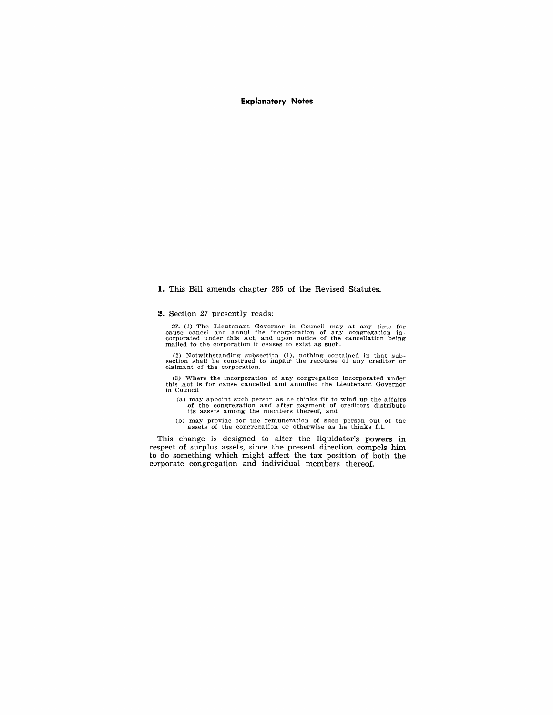## **Explanatory Notes**

**I.** This Bill amends chapter 285 of the Revised Statutes.

#### **2.** Section 27 presently reads:

27. (1) The Lieutenant Governor in Council may at any time for cause cancel and annul the incorporation of any congregation incorporated under this Act, and upon notice of the cancellation being mailed to the corporation i

(2) Notwithstanding Rubsection 0), nothing contained in that sub-section shall be construed to impair the recourse of any creditor or claimant of the corporation.

(3) Where the incorporation of any congregation incorporated under this Act is for cause cancelled and annulled the Lieutenant Governor in Council

(a) may appoint such person as he thinks fit to wind up the affairs of the congregation and after payment of creditors distribute its assets among the members thereof, and

(b) may provide for the remuneration of such person out of the assets of the congregation or otherwise as he thinks fit.

This change is designed to alter the liquidator's powers in respect of surplus assets, since the present direction compels him to do something which might affect the tax position of both the corporate congregation and individual members thereof.